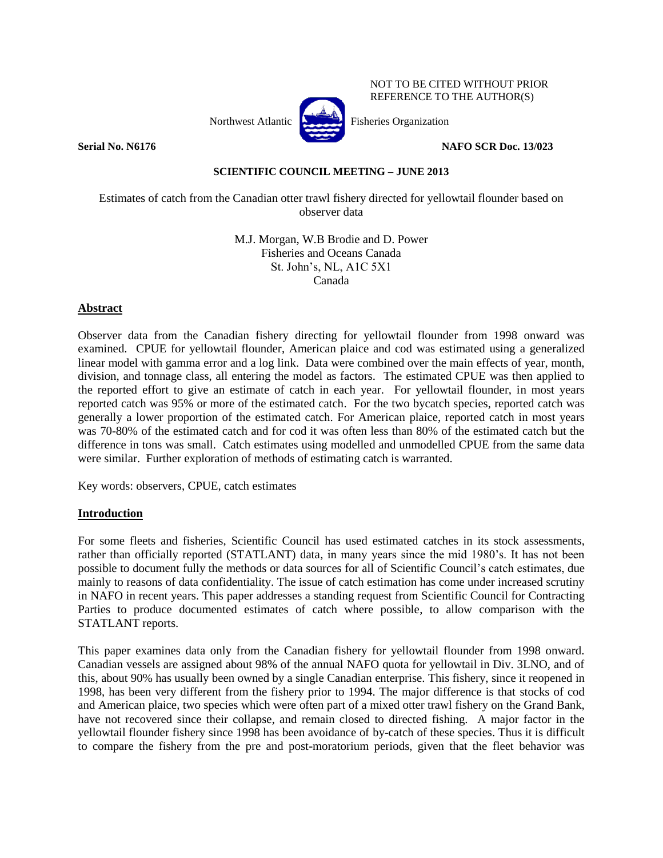

# **Serial No. N6176 NAFO SCR Doc. 13/023**

NOT TO BE CITED WITHOUT PRIOR REFERENCE TO THE AUTHOR(S)

## **SCIENTIFIC COUNCIL MEETING – JUNE 2013**

Estimates of catch from the Canadian otter trawl fishery directed for yellowtail flounder based on observer data

> M.J. Morgan, W.B Brodie and D. Power Fisheries and Oceans Canada St. John's, NL, A1C 5X1 Canada

# **Abstract**

Observer data from the Canadian fishery directing for yellowtail flounder from 1998 onward was examined. CPUE for yellowtail flounder, American plaice and cod was estimated using a generalized linear model with gamma error and a log link. Data were combined over the main effects of year, month, division, and tonnage class, all entering the model as factors. The estimated CPUE was then applied to the reported effort to give an estimate of catch in each year. For yellowtail flounder, in most years reported catch was 95% or more of the estimated catch. For the two bycatch species, reported catch was generally a lower proportion of the estimated catch. For American plaice, reported catch in most years was 70-80% of the estimated catch and for cod it was often less than 80% of the estimated catch but the difference in tons was small. Catch estimates using modelled and unmodelled CPUE from the same data were similar. Further exploration of methods of estimating catch is warranted.

Key words: observers, CPUE, catch estimates

#### **Introduction**

For some fleets and fisheries, Scientific Council has used estimated catches in its stock assessments, rather than officially reported (STATLANT) data, in many years since the mid 1980's. It has not been possible to document fully the methods or data sources for all of Scientific Council's catch estimates, due mainly to reasons of data confidentiality. The issue of catch estimation has come under increased scrutiny in NAFO in recent years. This paper addresses a standing request from Scientific Council for Contracting Parties to produce documented estimates of catch where possible, to allow comparison with the STATLANT reports.

This paper examines data only from the Canadian fishery for yellowtail flounder from 1998 onward. Canadian vessels are assigned about 98% of the annual NAFO quota for yellowtail in Div. 3LNO, and of this, about 90% has usually been owned by a single Canadian enterprise. This fishery, since it reopened in 1998, has been very different from the fishery prior to 1994. The major difference is that stocks of cod and American plaice, two species which were often part of a mixed otter trawl fishery on the Grand Bank, have not recovered since their collapse, and remain closed to directed fishing. A major factor in the yellowtail flounder fishery since 1998 has been avoidance of by-catch of these species. Thus it is difficult to compare the fishery from the pre and post-moratorium periods, given that the fleet behavior was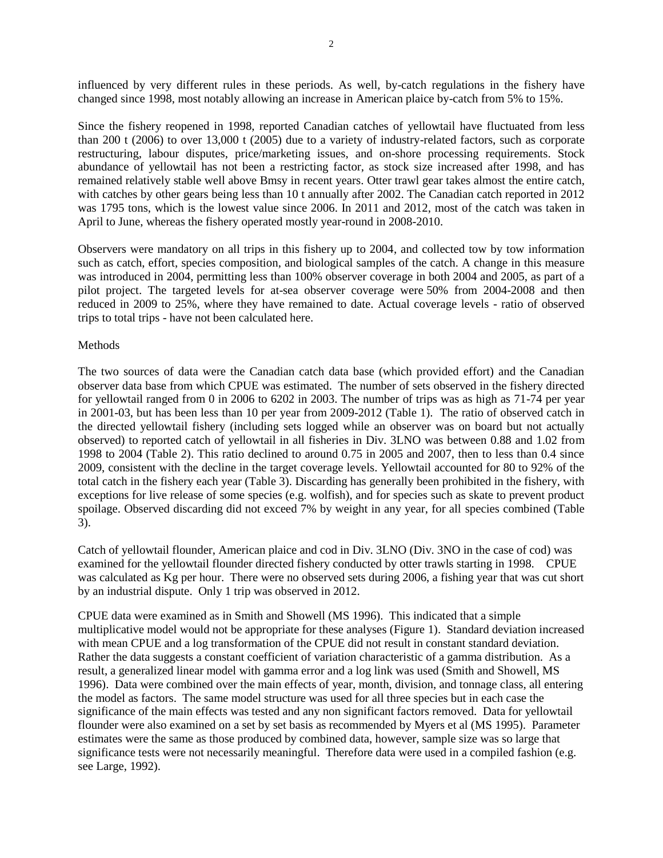influenced by very different rules in these periods. As well, by-catch regulations in the fishery have changed since 1998, most notably allowing an increase in American plaice by-catch from 5% to 15%.

Since the fishery reopened in 1998, reported Canadian catches of yellowtail have fluctuated from less than 200 t (2006) to over 13,000 t (2005) due to a variety of industry-related factors, such as corporate restructuring, labour disputes, price/marketing issues, and on-shore processing requirements. Stock abundance of yellowtail has not been a restricting factor, as stock size increased after 1998, and has remained relatively stable well above Bmsy in recent years. Otter trawl gear takes almost the entire catch, with catches by other gears being less than 10 t annually after 2002. The Canadian catch reported in 2012 was 1795 tons, which is the lowest value since 2006. In 2011 and 2012, most of the catch was taken in April to June, whereas the fishery operated mostly year-round in 2008-2010.

Observers were mandatory on all trips in this fishery up to 2004, and collected tow by tow information such as catch, effort, species composition, and biological samples of the catch. A change in this measure was introduced in 2004, permitting less than 100% observer coverage in both 2004 and 2005, as part of a pilot project. The targeted levels for at-sea observer coverage were 50% from 2004-2008 and then reduced in 2009 to 25%, where they have remained to date. Actual coverage levels - ratio of observed trips to total trips - have not been calculated here.

## Methods

The two sources of data were the Canadian catch data base (which provided effort) and the Canadian observer data base from which CPUE was estimated. The number of sets observed in the fishery directed for yellowtail ranged from 0 in 2006 to 6202 in 2003. The number of trips was as high as 71-74 per year in 2001-03, but has been less than 10 per year from 2009-2012 (Table 1). The ratio of observed catch in the directed yellowtail fishery (including sets logged while an observer was on board but not actually observed) to reported catch of yellowtail in all fisheries in Div. 3LNO was between 0.88 and 1.02 from 1998 to 2004 (Table 2). This ratio declined to around 0.75 in 2005 and 2007, then to less than 0.4 since 2009, consistent with the decline in the target coverage levels. Yellowtail accounted for 80 to 92% of the total catch in the fishery each year (Table 3). Discarding has generally been prohibited in the fishery, with exceptions for live release of some species (e.g. wolfish), and for species such as skate to prevent product spoilage. Observed discarding did not exceed 7% by weight in any year, for all species combined (Table 3).

Catch of yellowtail flounder, American plaice and cod in Div. 3LNO (Div. 3NO in the case of cod) was examined for the yellowtail flounder directed fishery conducted by otter trawls starting in 1998. CPUE was calculated as Kg per hour. There were no observed sets during 2006, a fishing year that was cut short by an industrial dispute. Only 1 trip was observed in 2012.

CPUE data were examined as in Smith and Showell (MS 1996). This indicated that a simple multiplicative model would not be appropriate for these analyses (Figure 1). Standard deviation increased with mean CPUE and a log transformation of the CPUE did not result in constant standard deviation. Rather the data suggests a constant coefficient of variation characteristic of a gamma distribution. As a result, a generalized linear model with gamma error and a log link was used (Smith and Showell, MS 1996). Data were combined over the main effects of year, month, division, and tonnage class, all entering the model as factors. The same model structure was used for all three species but in each case the significance of the main effects was tested and any non significant factors removed. Data for yellowtail flounder were also examined on a set by set basis as recommended by Myers et al (MS 1995). Parameter estimates were the same as those produced by combined data, however, sample size was so large that significance tests were not necessarily meaningful. Therefore data were used in a compiled fashion (e.g. see Large, 1992).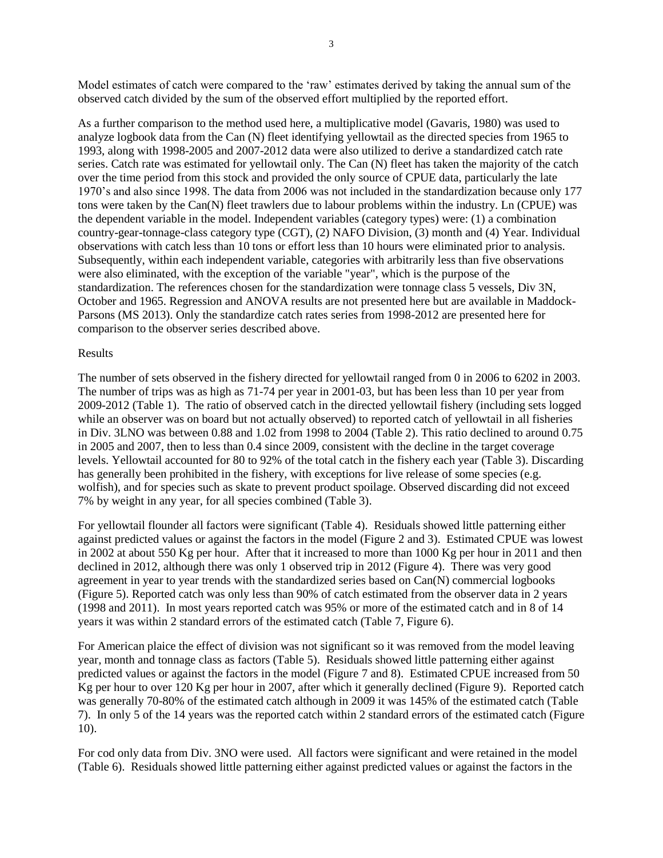Model estimates of catch were compared to the 'raw' estimates derived by taking the annual sum of the observed catch divided by the sum of the observed effort multiplied by the reported effort.

As a further comparison to the method used here, a multiplicative model (Gavaris, 1980) was used to analyze logbook data from the Can (N) fleet identifying yellowtail as the directed species from 1965 to 1993, along with 1998-2005 and 2007-2012 data were also utilized to derive a standardized catch rate series. Catch rate was estimated for yellowtail only. The Can (N) fleet has taken the majority of the catch over the time period from this stock and provided the only source of CPUE data, particularly the late 1970's and also since 1998. The data from 2006 was not included in the standardization because only 177 tons were taken by the Can(N) fleet trawlers due to labour problems within the industry. Ln (CPUE) was the dependent variable in the model. Independent variables (category types) were: (1) a combination country-gear-tonnage-class category type (CGT), (2) NAFO Division, (3) month and (4) Year. Individual observations with catch less than 10 tons or effort less than 10 hours were eliminated prior to analysis. Subsequently, within each independent variable, categories with arbitrarily less than five observations were also eliminated, with the exception of the variable "year", which is the purpose of the standardization. The references chosen for the standardization were tonnage class 5 vessels, Div 3N, October and 1965. Regression and ANOVA results are not presented here but are available in Maddock-Parsons (MS 2013). Only the standardize catch rates series from 1998-2012 are presented here for comparison to the observer series described above.

#### Results

The number of sets observed in the fishery directed for yellowtail ranged from 0 in 2006 to 6202 in 2003. The number of trips was as high as 71-74 per year in 2001-03, but has been less than 10 per year from 2009-2012 (Table 1). The ratio of observed catch in the directed yellowtail fishery (including sets logged while an observer was on board but not actually observed) to reported catch of yellowtail in all fisheries in Div. 3LNO was between 0.88 and 1.02 from 1998 to 2004 (Table 2). This ratio declined to around 0.75 in 2005 and 2007, then to less than 0.4 since 2009, consistent with the decline in the target coverage levels. Yellowtail accounted for 80 to 92% of the total catch in the fishery each year (Table 3). Discarding has generally been prohibited in the fishery, with exceptions for live release of some species (e.g. wolfish), and for species such as skate to prevent product spoilage. Observed discarding did not exceed 7% by weight in any year, for all species combined (Table 3).

For yellowtail flounder all factors were significant (Table 4). Residuals showed little patterning either against predicted values or against the factors in the model (Figure 2 and 3). Estimated CPUE was lowest in 2002 at about 550 Kg per hour. After that it increased to more than 1000 Kg per hour in 2011 and then declined in 2012, although there was only 1 observed trip in 2012 (Figure 4). There was very good agreement in year to year trends with the standardized series based on Can(N) commercial logbooks (Figure 5). Reported catch was only less than 90% of catch estimated from the observer data in 2 years (1998 and 2011). In most years reported catch was 95% or more of the estimated catch and in 8 of 14 years it was within 2 standard errors of the estimated catch (Table 7, Figure 6).

For American plaice the effect of division was not significant so it was removed from the model leaving year, month and tonnage class as factors (Table 5). Residuals showed little patterning either against predicted values or against the factors in the model (Figure 7 and 8). Estimated CPUE increased from 50 Kg per hour to over 120 Kg per hour in 2007, after which it generally declined (Figure 9). Reported catch was generally 70-80% of the estimated catch although in 2009 it was 145% of the estimated catch (Table 7). In only 5 of the 14 years was the reported catch within 2 standard errors of the estimated catch (Figure 10).

For cod only data from Div. 3NO were used. All factors were significant and were retained in the model (Table 6). Residuals showed little patterning either against predicted values or against the factors in the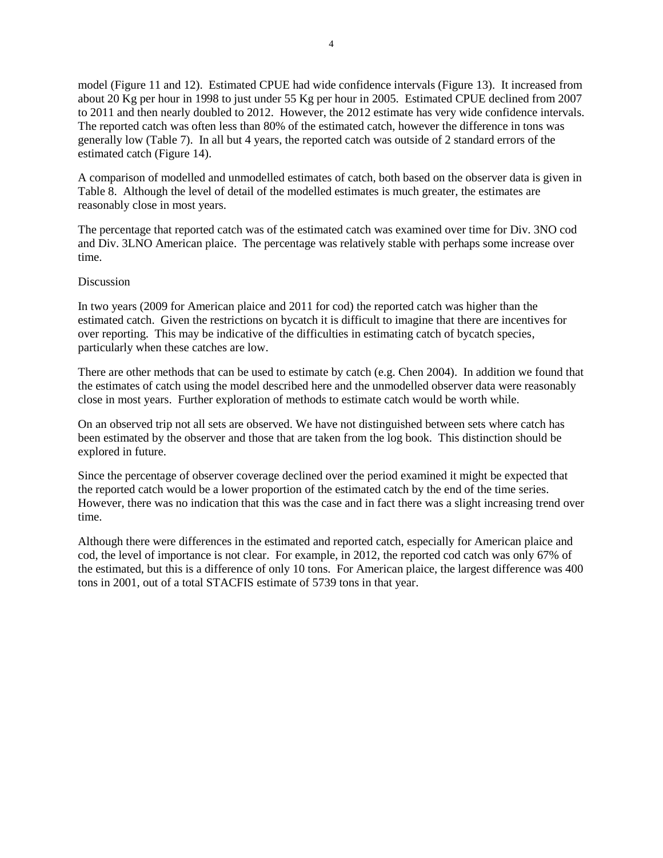model (Figure 11 and 12). Estimated CPUE had wide confidence intervals (Figure 13). It increased from about 20 Kg per hour in 1998 to just under 55 Kg per hour in 2005. Estimated CPUE declined from 2007 to 2011 and then nearly doubled to 2012. However, the 2012 estimate has very wide confidence intervals. The reported catch was often less than 80% of the estimated catch, however the difference in tons was generally low (Table 7). In all but 4 years, the reported catch was outside of 2 standard errors of the estimated catch (Figure 14).

A comparison of modelled and unmodelled estimates of catch, both based on the observer data is given in Table 8. Although the level of detail of the modelled estimates is much greater, the estimates are reasonably close in most years.

The percentage that reported catch was of the estimated catch was examined over time for Div. 3NO cod and Div. 3LNO American plaice. The percentage was relatively stable with perhaps some increase over time.

### Discussion

In two years (2009 for American plaice and 2011 for cod) the reported catch was higher than the estimated catch. Given the restrictions on bycatch it is difficult to imagine that there are incentives for over reporting. This may be indicative of the difficulties in estimating catch of bycatch species, particularly when these catches are low.

There are other methods that can be used to estimate by catch (e.g. Chen 2004). In addition we found that the estimates of catch using the model described here and the unmodelled observer data were reasonably close in most years. Further exploration of methods to estimate catch would be worth while.

On an observed trip not all sets are observed. We have not distinguished between sets where catch has been estimated by the observer and those that are taken from the log book. This distinction should be explored in future.

Since the percentage of observer coverage declined over the period examined it might be expected that the reported catch would be a lower proportion of the estimated catch by the end of the time series. However, there was no indication that this was the case and in fact there was a slight increasing trend over time.

Although there were differences in the estimated and reported catch, especially for American plaice and cod, the level of importance is not clear. For example, in 2012, the reported cod catch was only 67% of the estimated, but this is a difference of only 10 tons. For American plaice, the largest difference was 400 tons in 2001, out of a total STACFIS estimate of 5739 tons in that year.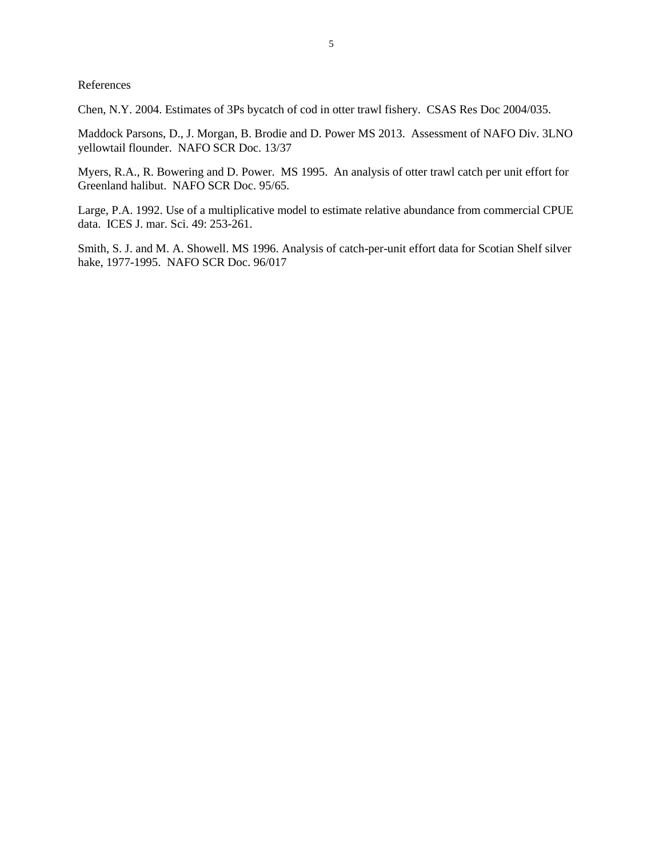References

Chen, N.Y. 2004. Estimates of 3Ps bycatch of cod in otter trawl fishery. CSAS Res Doc 2004/035.

Maddock Parsons, D., J. Morgan, B. Brodie and D. Power MS 2013. Assessment of NAFO Div. 3LNO yellowtail flounder. NAFO SCR Doc. 13/37

Myers, R.A., R. Bowering and D. Power. MS 1995. An analysis of otter trawl catch per unit effort for Greenland halibut. NAFO SCR Doc. 95/65.

Large, P.A. 1992. Use of a multiplicative model to estimate relative abundance from commercial CPUE data. ICES J. mar. Sci. 49: 253-261.

Smith, S. J. and M. A. Showell. MS 1996. Analysis of catch-per-unit effort data for Scotian Shelf silver hake, 1977-1995. NAFO SCR Doc. 96/017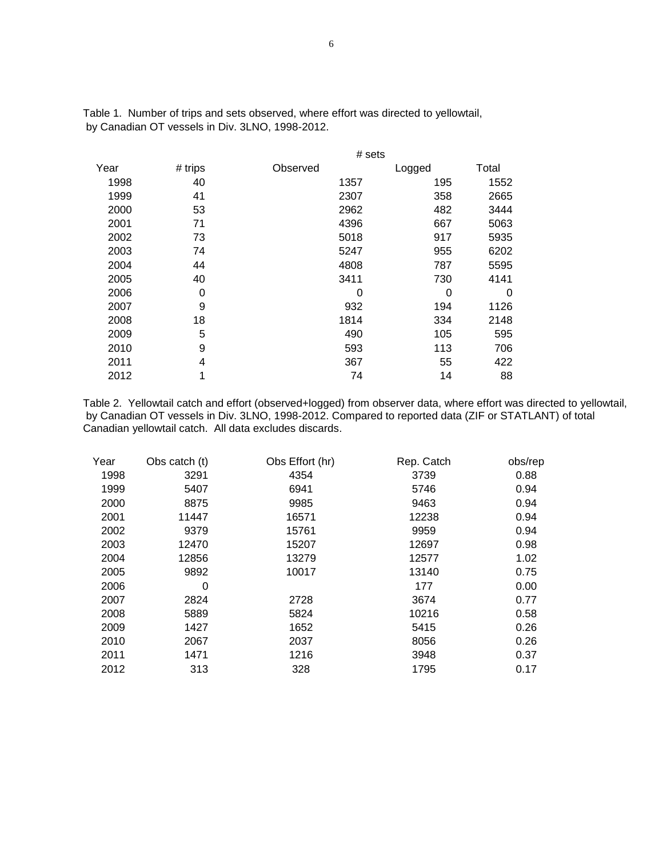|      |         |          | # sets |       |
|------|---------|----------|--------|-------|
| Year | # trips | Observed | Logged | Total |
| 1998 | 40      | 1357     | 195    | 1552  |
| 1999 | 41      | 2307     | 358    | 2665  |
| 2000 | 53      | 2962     | 482    | 3444  |
| 2001 | 71      | 4396     | 667    | 5063  |
| 2002 | 73      | 5018     | 917    | 5935  |
| 2003 | 74      | 5247     | 955    | 6202  |
| 2004 | 44      | 4808     | 787    | 5595  |
| 2005 | 40      | 3411     | 730    | 4141  |
| 2006 | 0       | 0        | 0      | 0     |
| 2007 | 9       | 932      | 194    | 1126  |
| 2008 | 18      | 1814     | 334    | 2148  |
| 2009 | 5       | 490      | 105    | 595   |
| 2010 | 9       | 593      | 113    | 706   |
| 2011 | 4       | 367      | 55     | 422   |
| 2012 | 1       | 74       | 14     | 88    |

Table 1. Number of trips and sets observed, where effort was directed to yellowtail, by Canadian OT vessels in Div. 3LNO, 1998-2012.

Table 2. Yellowtail catch and effort (observed+logged) from observer data, where effort was directed to yellowtail, by Canadian OT vessels in Div. 3LNO, 1998-2012. Compared to reported data (ZIF or STATLANT) of total Canadian yellowtail catch. All data excludes discards.

| Year | Obs catch (t) | Obs Effort (hr) | Rep. Catch | obs/rep |
|------|---------------|-----------------|------------|---------|
| 1998 | 3291          | 4354            | 3739       | 0.88    |
| 1999 | 5407          | 6941            | 5746       | 0.94    |
| 2000 | 8875          | 9985            | 9463       | 0.94    |
| 2001 | 11447         | 16571           | 12238      | 0.94    |
| 2002 | 9379          | 15761           | 9959       | 0.94    |
| 2003 | 12470         | 15207           | 12697      | 0.98    |
| 2004 | 12856         | 13279           | 12577      | 1.02    |
| 2005 | 9892          | 10017           | 13140      | 0.75    |
| 2006 | 0             |                 | 177        | 0.00    |
| 2007 | 2824          | 2728            | 3674       | 0.77    |
| 2008 | 5889          | 5824            | 10216      | 0.58    |
| 2009 | 1427          | 1652            | 5415       | 0.26    |
| 2010 | 2067          | 2037            | 8056       | 0.26    |
| 2011 | 1471          | 1216            | 3948       | 0.37    |
| 2012 | 313           | 328             | 1795       | 0.17    |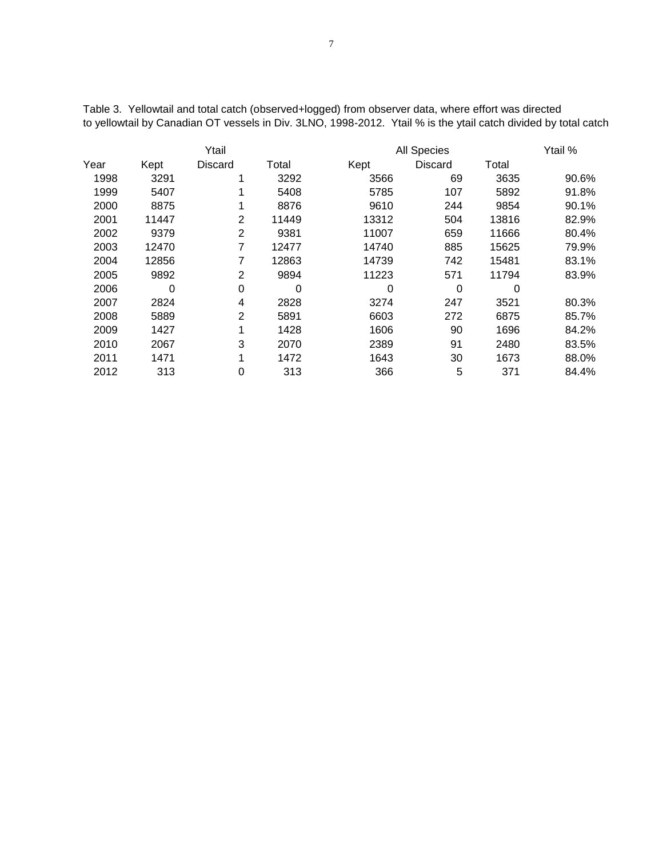| Ytail |       |                |       | All Species |         |       |       |
|-------|-------|----------------|-------|-------------|---------|-------|-------|
| Year  | Kept  | <b>Discard</b> | Total | Kept        | Discard | Total |       |
| 1998  | 3291  | 1              | 3292  | 3566        | 69      | 3635  | 90.6% |
| 1999  | 5407  | 1              | 5408  | 5785        | 107     | 5892  | 91.8% |
| 2000  | 8875  | 1              | 8876  | 9610        | 244     | 9854  | 90.1% |
| 2001  | 11447 | 2              | 11449 | 13312       | 504     | 13816 | 82.9% |
| 2002  | 9379  | 2              | 9381  | 11007       | 659     | 11666 | 80.4% |
| 2003  | 12470 | 7              | 12477 | 14740       | 885     | 15625 | 79.9% |
| 2004  | 12856 | 7              | 12863 | 14739       | 742     | 15481 | 83.1% |
| 2005  | 9892  | $\overline{2}$ | 9894  | 11223       | 571     | 11794 | 83.9% |
| 2006  | 0     | 0              | 0     | 0           | 0       | 0     |       |
| 2007  | 2824  | 4              | 2828  | 3274        | 247     | 3521  | 80.3% |
| 2008  | 5889  | 2              | 5891  | 6603        | 272     | 6875  | 85.7% |
| 2009  | 1427  | 1              | 1428  | 1606        | 90      | 1696  | 84.2% |
| 2010  | 2067  | 3              | 2070  | 2389        | 91      | 2480  | 83.5% |
| 2011  | 1471  | 1              | 1472  | 1643        | 30      | 1673  | 88.0% |
| 2012  | 313   | 0              | 313   | 366         | 5       | 371   | 84.4% |

Table 3. Yellowtail and total catch (observed+logged) from observer data, where effort was directed to yellowtail by Canadian OT vessels in Div. 3LNO, 1998-2012. Ytail % is the ytail catch divided by total catch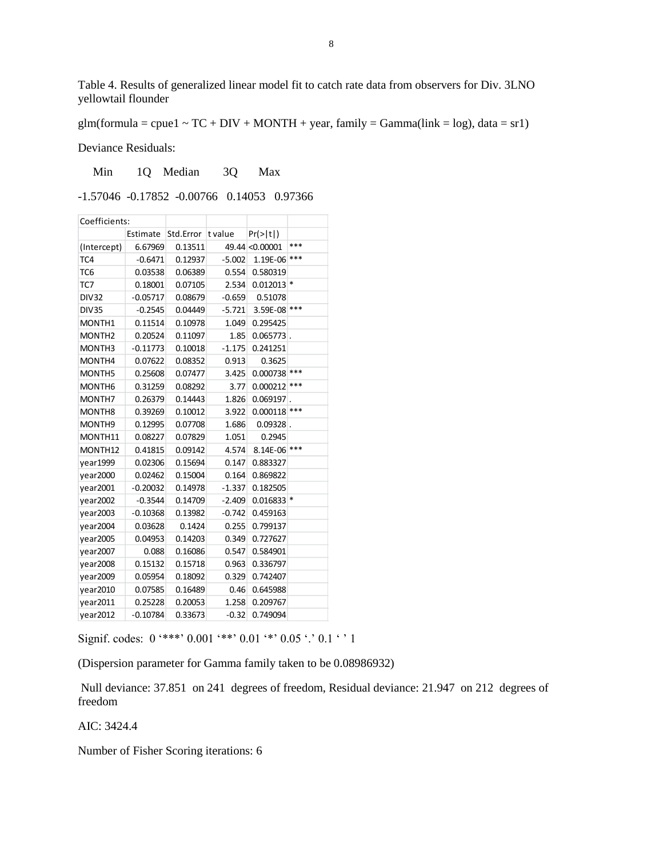Table 4. Results of generalized linear model fit to catch rate data from observers for Div. 3LNO yellowtail flounder

glm(formula = cpue1 ~  $TC + DIV + MONTH + year$ , family = Gamma(link = log), data = sr1)

Deviance Residuals:

Min 1Q Median 3Q Max

-1.57046 -0.17852 -0.00766 0.14053 0.97366

| Coefficients:      |            |           |          |                      |       |
|--------------------|------------|-----------|----------|----------------------|-------|
| Estimate           |            | Std.Error | t value  | $Pr(>\vert t \vert)$ |       |
| (Intercept)        | 6.67969    | 0.13511   |          | 49.44 < 0.00001      | ***   |
| TC4                | $-0.6471$  | 0.12937   | $-5.002$ | 1.19E-06             | ***   |
| TC6                | 0.03538    | 0.06389   | 0.554    | 0.580319             |       |
| TC7                | 0.18001    | 0.07105   | 2.534    | $0.012013$ *         |       |
| <b>DIV32</b>       | $-0.05717$ | 0.08679   | $-0.659$ | 0.51078              |       |
| <b>DIV35</b>       | $-0.2545$  | 0.04449   | $-5.721$ | 3.59E-08             | ***   |
| MONTH1             | 0.11514    | 0.10978   | 1.049    | 0.295425             |       |
| MONTH <sub>2</sub> | 0.20524    | 0.11097   | 1.85     | $0.065773$ .         |       |
| MONTH3             | $-0.11773$ | 0.10018   | $-1.175$ | 0.241251             |       |
| MONTH4             | 0.07622    | 0.08352   | 0.913    | 0.3625               |       |
| MONTH5             | 0.25608    | 0.07477   | 3.425    | 0.000738             | ***   |
| MONTH <sub>6</sub> | 0.31259    | 0.08292   | 3.77     | 0.000212             | $***$ |
| MONTH7             | 0.26379    | 0.14443   | 1.826    | $0.069197$ .         |       |
| MONTH <sub>8</sub> | 0.39269    | 0.10012   | 3.922    | 0.000118             | ***   |
| MONTH <sub>9</sub> | 0.12995    | 0.07708   | 1.686    | $0.09328$ .          |       |
| MONTH11            | 0.08227    | 0.07829   | 1.051    | 0.2945               |       |
| MONTH12            | 0.41815    | 0.09142   | 4.574    | 8.14E-06             | $***$ |
| year1999           | 0.02306    | 0.15694   | 0.147    | 0.883327             |       |
| year2000           | 0.02462    | 0.15004   | 0.164    | 0.869822             |       |
| year2001           | $-0.20032$ | 0.14978   | $-1.337$ | 0.182505             |       |
| year2002           | $-0.3544$  | 0.14709   | $-2.409$ | $0.016833$ *         |       |
| year2003           | $-0.10368$ | 0.13982   | $-0.742$ | 0.459163             |       |
| year2004           | 0.03628    | 0.1424    | 0.255    | 0.799137             |       |
| year2005           | 0.04953    | 0.14203   | 0.349    | 0.727627             |       |
| year2007           | 0.088      | 0.16086   | 0.547    | 0.584901             |       |
| year2008           | 0.15132    | 0.15718   | 0.963    | 0.336797             |       |
| vear2009           | 0.05954    | 0.18092   | 0.329    | 0.742407             |       |
| year2010           | 0.07585    | 0.16489   | 0.46     | 0.645988             |       |
| vear2011           | 0.25228    | 0.20053   | 1.258    | 0.209767             |       |
| year2012           | $-0.10784$ | 0.33673   | $-0.32$  | 0.749094             |       |

Signif. codes:  $0$  '\*\*\*'  $0.001$  '\*\*'  $0.01$  '\*'  $0.05$  '.'  $0.1$  ' ' 1

(Dispersion parameter for Gamma family taken to be 0.08986932)

Null deviance: 37.851 on 241 degrees of freedom, Residual deviance: 21.947 on 212 degrees of freedom

AIC: 3424.4

Number of Fisher Scoring iterations: 6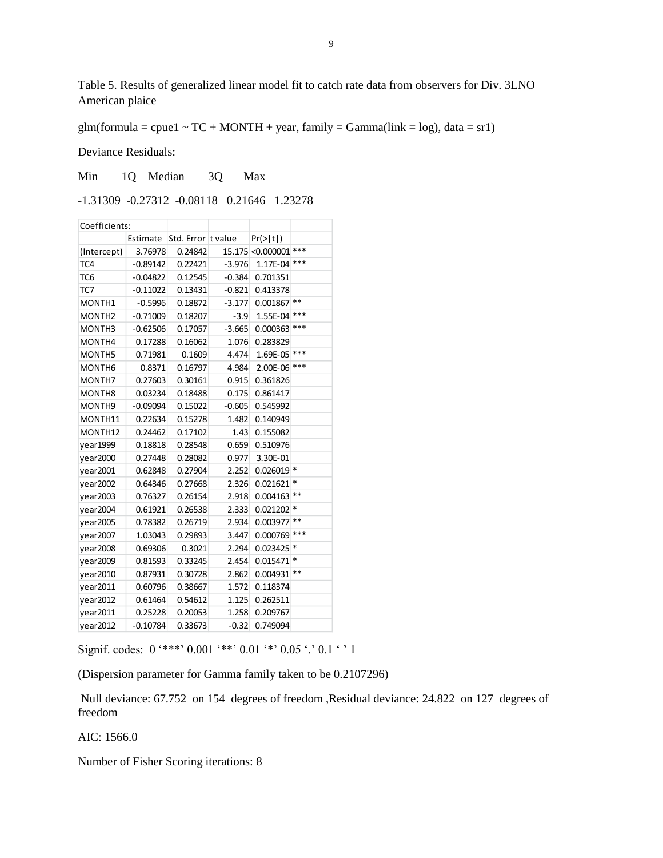Table 5. Results of generalized linear model fit to catch rate data from observers for Div. 3LNO American plaice

glm(formula = cpue1 ~  $TC + MONTH + year$ , family = Gamma(link = log), data = sr1)

Deviance Residuals:

Min 1Q Median 3Q Max

-1.31309 -0.27312 -0.08118 0.21646 1.23278

| Coefficients:      |            |                    |          |                      |        |
|--------------------|------------|--------------------|----------|----------------------|--------|
|                    | Estimate   | Std. Error t value |          | $Pr(>\vert t \vert)$ |        |
| (Intercept)        | 3.76978    | 0.24842            |          | 15.175 < 0.000001    | ***    |
| TC4                | $-0.89142$ | 0.22421            | $-3.976$ | 1.17E-04             | ***    |
| TC6                | $-0.04822$ | 0.12545            | $-0.384$ | 0.701351             |        |
| TC7                | $-0.11022$ | 0.13431            | $-0.821$ | 0.413378             |        |
| MONTH1             | $-0.5996$  | 0.18872            | $-3.177$ | 0.001867             | $***$  |
| MONTH <sub>2</sub> | $-0.71009$ | 0.18207            | $-3.9$   | 1.55E-04             | ***    |
| MONTH <sub>3</sub> | $-0.62506$ | 0.17057            | $-3.665$ | 0.000363             | ***    |
| MONTH4             | 0.17288    | 0.16062            | 1.076    | 0.283829             |        |
| MONTH5             | 0.71981    | 0.1609             | 4.474    | 1.69E-05             | ***    |
| MONTH <sub>6</sub> | 0.8371     | 0.16797            | 4.984    | 2.00E-06             | ***    |
| MONTH7             | 0.27603    | 0.30161            | 0.915    | 0.361826             |        |
| MONTH <sub>8</sub> | 0.03234    | 0.18488            | 0.175    | 0.861417             |        |
| MONTH <sub>9</sub> | $-0.09094$ | 0.15022            | $-0.605$ | 0.545992             |        |
| MONTH11            | 0.22634    | 0.15278            | 1.482    | 0.140949             |        |
| MONTH12            | 0.24462    | 0.17102            | 1.43     | 0.155082             |        |
| year1999           | 0.18818    | 0.28548            | 0.659    | 0.510976             |        |
| vear2000           | 0.27448    | 0.28082            | 0.977    | 3.30E-01             |        |
| year2001           | 0.62848    | 0.27904            | 2.252    | $0.026019$ *         |        |
| vear2002           | 0.64346    | 0.27668            | 2.326    | 0.021621             | *      |
| year2003           | 0.76327    | 0.26154            | 2.918    | 0.004163             | **     |
| year2004           | 0.61921    | 0.26538            | 2.333    | 0.021202             | *      |
| vear2005           | 0.78382    | 0.26719            | 2.934    | 0.003977             | **     |
| vear2007           | 1.03043    | 0.29893            | 3.447    | 0.000769             | ***    |
| year2008           | 0.69306    | 0.3021             | 2.294    | 0.023425             | *      |
| year2009           | 0.81593    | 0.33245            | 2.454    | 0.015471             | $\ast$ |
| year2010           | 0.87931    | 0.30728            | 2.862    | 0.004931             | $***$  |
| year2011           | 0.60796    | 0.38667            | 1.572    | 0.118374             |        |
| year2012           | 0.61464    | 0.54612            | 1.125    | 0.262511             |        |
| year2011           | 0.25228    | 0.20053            | 1.258    | 0.209767             |        |
| year2012           | $-0.10784$ | 0.33673            | $-0.32$  | 0.749094             |        |

Signif. codes:  $0$  '\*\*\*'  $0.001$  '\*\*'  $0.01$  '\*'  $0.05$  '.'  $0.1$  ' ' 1

(Dispersion parameter for Gamma family taken to be 0.2107296)

Null deviance: 67.752 on 154 degrees of freedom ,Residual deviance: 24.822 on 127 degrees of freedom

AIC: 1566.0

Number of Fisher Scoring iterations: 8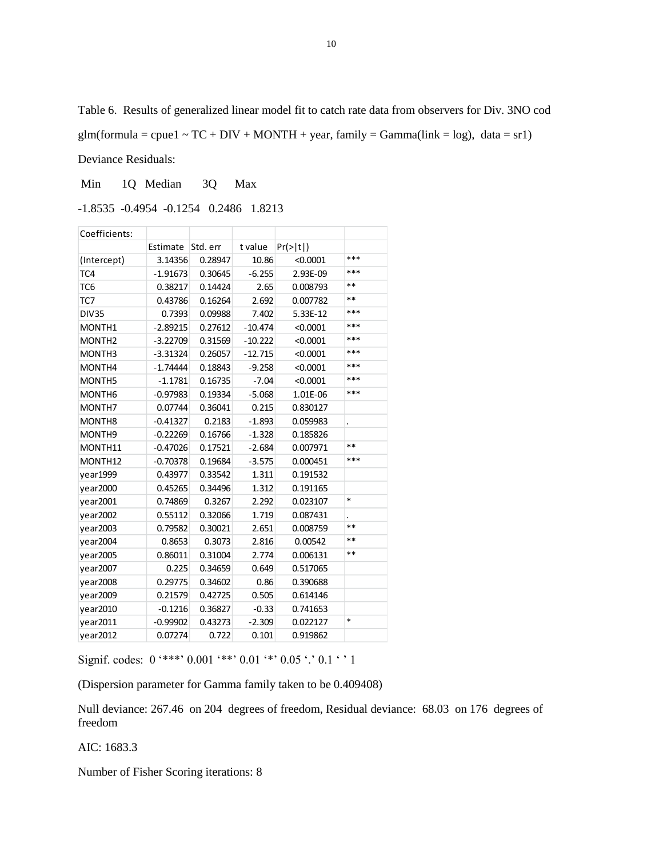Table 6. Results of generalized linear model fit to catch rate data from observers for Div. 3NO cod glm(formula = cpue1 ~  $TC + DIV + MONTH + year$ , family = Gamma(link = log), data = sr1) Deviance Residuals:

Min 1Q Median 3Q Max

-1.8535 -0.4954 -0.1254 0.2486 1.8213

| Coefficients:      |            |          |           |                      |                      |
|--------------------|------------|----------|-----------|----------------------|----------------------|
|                    | Estimate   | Std. err | t value   | $Pr(>\vert t \vert)$ |                      |
| (Intercept)        | 3.14356    | 0.28947  | 10.86     | < 0.0001             | ***                  |
| TC4                | $-1.91673$ | 0.30645  | $-6.255$  | 2.93E-09             | ***                  |
| TC6                | 0.38217    | 0.14424  | 2.65      | 0.008793             | $**$                 |
| TC7                | 0.43786    | 0.16264  | 2.692     | 0.007782             | $**$                 |
| <b>DIV35</b>       | 0.7393     | 0.09988  | 7.402     | 5.33E-12             | ***                  |
| MONTH1             | $-2.89215$ | 0.27612  | $-10.474$ | < 0.0001             | ***                  |
| MONTH <sub>2</sub> | $-3.22709$ | 0.31569  | $-10.222$ | < 0.0001             | ***                  |
| MONTH3             | $-3.31324$ | 0.26057  | $-12.715$ | < 0.0001             | $***$                |
| MONTH4             | $-1.74444$ | 0.18843  | $-9.258$  | < 0.0001             | ***                  |
| MONTH5             | $-1.1781$  | 0.16735  | $-7.04$   | < 0.0001             | ***                  |
| MONTH <sub>6</sub> | $-0.97983$ | 0.19334  | $-5.068$  | 1.01E-06             | ***                  |
| MONTH7             | 0.07744    | 0.36041  | 0.215     | 0.830127             |                      |
| MONTH <sub>8</sub> | $-0.41327$ | 0.2183   | $-1.893$  | 0.059983             | $\ddot{\phantom{a}}$ |
| MONTH9             | $-0.22269$ | 0.16766  | $-1.328$  | 0.185826             |                      |
| MONTH11            | $-0.47026$ | 0.17521  | $-2.684$  | 0.007971             | $**$                 |
| MONTH12            | $-0.70378$ | 0.19684  | $-3.575$  | 0.000451             | ***                  |
| year1999           | 0.43977    | 0.33542  | 1.311     | 0.191532             |                      |
| vear2000           | 0.45265    | 0.34496  | 1.312     | 0.191165             |                      |
| vear2001           | 0.74869    | 0.3267   | 2.292     | 0.023107             | $\ast$               |
| year2002           | 0.55112    | 0.32066  | 1.719     | 0.087431             |                      |
| year2003           | 0.79582    | 0.30021  | 2.651     | 0.008759             | $**$                 |
| vear2004           | 0.8653     | 0.3073   | 2.816     | 0.00542              | $**$                 |
| year2005           | 0.86011    | 0.31004  | 2.774     | 0.006131             | $**$                 |
| year2007           | 0.225      | 0.34659  | 0.649     | 0.517065             |                      |
| year2008           | 0.29775    | 0.34602  | 0.86      | 0.390688             |                      |
| year2009           | 0.21579    | 0.42725  | 0.505     | 0.614146             |                      |
| year2010           | $-0.1216$  | 0.36827  | $-0.33$   | 0.741653             |                      |
| year2011           | $-0.99902$ | 0.43273  | $-2.309$  | 0.022127             | $\ast$               |
| year2012           | 0.07274    | 0.722    | 0.101     | 0.919862             |                      |

Signif. codes:  $0$  '\*\*\*'  $0.001$  '\*\*'  $0.01$  '\*'  $0.05$  '.'  $0.1$  ' ' 1

(Dispersion parameter for Gamma family taken to be 0.409408)

Null deviance: 267.46 on 204 degrees of freedom, Residual deviance: 68.03 on 176 degrees of freedom

AIC: 1683.3

Number of Fisher Scoring iterations: 8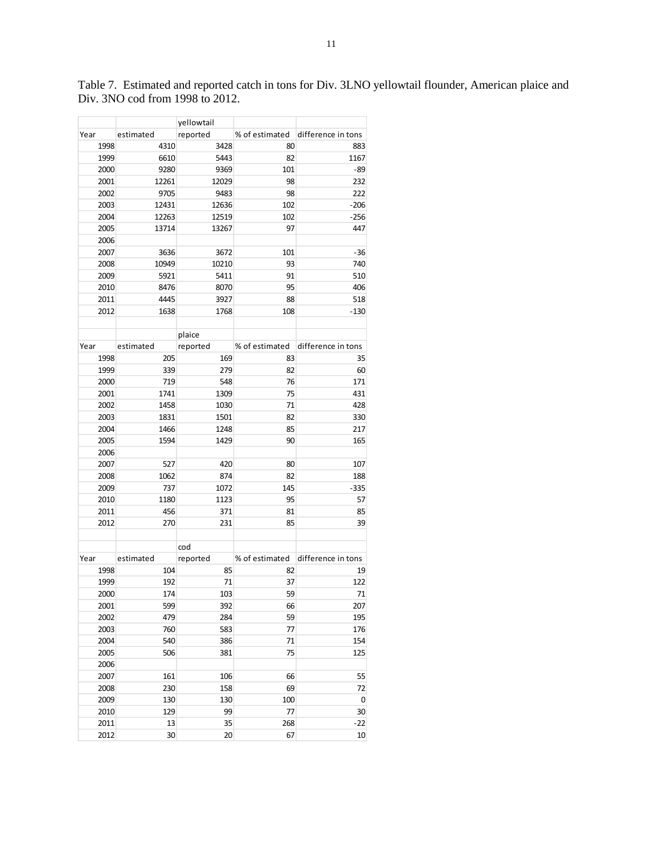|      |           | yellowtail |                |                    |
|------|-----------|------------|----------------|--------------------|
| Year | estimated | reported   | % of estimated | difference in tons |
| 1998 | 4310      | 3428       | 80             | 883                |
| 1999 | 6610      | 5443       | 82             | 1167               |
| 2000 | 9280      | 9369       | 101            | $-89$              |
| 2001 | 12261     | 12029      | 98             | 232                |
| 2002 | 9705      | 9483       | 98             | 222                |
| 2003 | 12431     | 12636      | 102            | $-206$             |
| 2004 | 12263     | 12519      | 102            | $-256$             |
| 2005 | 13714     | 13267      | 97             | 447                |
| 2006 |           |            |                |                    |
| 2007 | 3636      | 3672       | 101            | $-36$              |
| 2008 | 10949     | 10210      | 93             | 740                |
| 2009 | 5921      | 5411       | 91             | 510                |
| 2010 | 8476      | 8070       | 95             | 406                |
| 2011 | 4445      | 3927       | 88             | 518                |
| 2012 | 1638      | 1768       | 108            | $-130$             |
|      |           |            |                |                    |
|      |           |            |                |                    |
|      |           | plaice     |                |                    |
| Year | estimated | reported   | % of estimated | difference in tons |
| 1998 | 205       | 169        | 83             | 35                 |
| 1999 | 339       | 279        | 82             | 60                 |
| 2000 | 719       | 548        | 76             | 171                |
| 2001 | 1741      | 1309       | 75             | 431                |
| 2002 | 1458      | 1030       | 71             | 428                |
| 2003 | 1831      | 1501       | 82             | 330                |
| 2004 | 1466      | 1248       | 85             | 217                |
| 2005 | 1594      | 1429       | 90             | 165                |
| 2006 |           |            |                |                    |
| 2007 | 527       | 420        | 80             | 107                |
| 2008 | 1062      | 874        | 82             | 188                |
| 2009 | 737       | 1072       | 145            | $-335$             |
| 2010 | 1180      | 1123       | 95             | 57                 |
| 2011 | 456       | 371        | 81             | 85                 |
| 2012 | 270       | 231        | 85             | 39                 |
|      |           |            |                |                    |
|      |           | cod        |                |                    |
| Year | estimated | reported   | % of estimated | difference in tons |
| 1998 | 104       | 85         | 82             | 19                 |
| 1999 | 192       | 71         | 37             | 122                |
| 2000 | 174       | 103        | 59             | 71                 |
| 2001 | 599       | 392        | 66             | 207                |
| 2002 | 479       | 284        | 59             | 195                |
| 2003 | 760       | 583        | 77             | 176                |
| 2004 | 540       | 386        | 71             | 154                |
| 2005 | 506       | 381        | 75             | 125                |
| 2006 |           |            |                |                    |
| 2007 | 161       | 106        | 66             | 55                 |
| 2008 | 230       | 158        | 69             | 72                 |
| 2009 | 130       | 130        | 100            | 0                  |
| 2010 | 129       | 99         | 77             | 30                 |
| 2011 | 13        | 35         | 268            | $-22$              |
| 2012 | 30        | 20         | 67             | 10                 |
|      |           |            |                |                    |

Table 7. Estimated and reported catch in tons for Div. 3LNO yellowtail flounder, American plaice and Div. 3NO cod from 1998 to 2012.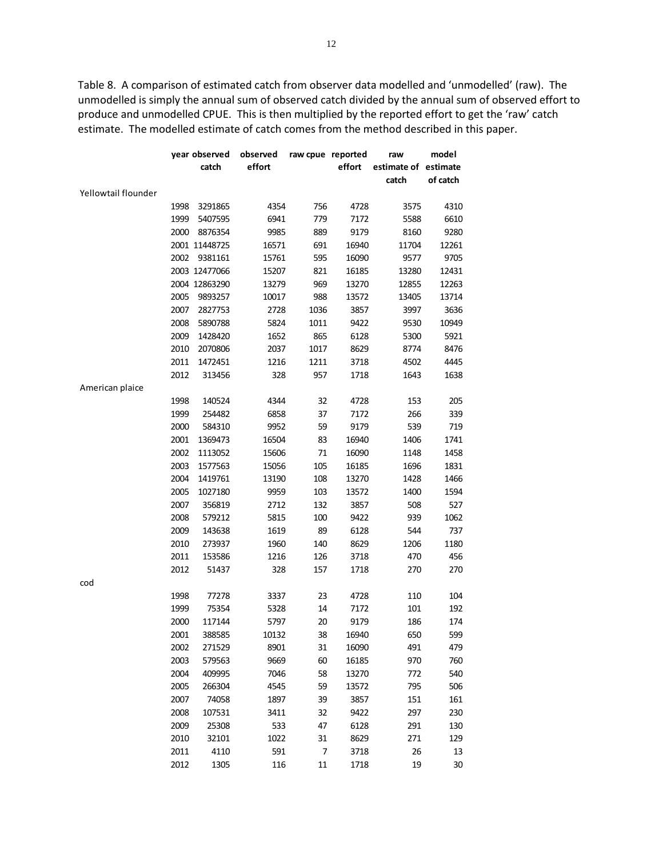Table 8. A comparison of estimated catch from observer data modelled and 'unmodelled' (raw). The unmodelled is simply the annual sum of observed catch divided by the annual sum of observed effort to produce and unmodelled CPUE. This is then multiplied by the reported effort to get the 'raw' catch estimate. The modelled estimate of catch comes from the method described in this paper.

| raw cpue reported<br>year observed<br>observed<br>raw         | model    |
|---------------------------------------------------------------|----------|
| effort<br>effort<br>catch<br>estimate of estimate             |          |
| catch                                                         | of catch |
| Yellowtail flounder                                           |          |
| 1998<br>3291865<br>4354<br>756<br>4728<br>3575                | 4310     |
| 1999<br>5407595<br>6941<br>779<br>7172<br>5588                | 6610     |
| 889<br>2000<br>8876354<br>9985<br>9179<br>8160                | 9280     |
| 2001 11448725<br>16571<br>691<br>16940<br>11704               | 12261    |
| 595<br>2002<br>9381161<br>15761<br>16090<br>9577              | 9705     |
| 2003 12477066<br>821<br>15207<br>16185<br>13280               | 12431    |
| 2004 12863290<br>969<br>13279<br>13270<br>12855               | 12263    |
| 2005<br>988<br>9893257<br>10017<br>13572<br>13405             | 13714    |
| 2007<br>2827753<br>2728<br>1036<br>3857<br>3997               | 3636     |
| 2008<br>5890788<br>5824<br>1011<br>9422<br>9530               | 10949    |
| 865<br>2009<br>1428420<br>1652<br>6128<br>5300                | 5921     |
| 2010<br>2070806<br>2037<br>1017<br>8629<br>8774               | 8476     |
| 2011<br>1472451<br>1216<br>1211<br>3718<br>4502               | 4445     |
| 328<br>2012<br>313456<br>957<br>1718<br>1643                  | 1638     |
| American plaice                                               |          |
| 1998<br>140524<br>4344<br>32<br>4728<br>153                   | 205      |
| 266<br>1999<br>254482<br>6858<br>37<br>7172                   | 339      |
| 539<br>2000<br>584310<br>9952<br>59<br>9179                   | 719      |
| 2001<br>1369473<br>16504<br>83<br>16940<br>1406               | 1741     |
| 2002<br>1113052<br>15606<br>71<br>16090<br>1148               | 1458     |
| 105<br>2003<br>1577563<br>15056<br>16185<br>1696              | 1831     |
| 2004<br>108<br>1419761<br>13190<br>13270<br>1428              | 1466     |
| 103<br>2005<br>1027180<br>9959<br>13572<br>1400               | 1594     |
| 132<br>508<br>2007<br>356819<br>2712<br>3857                  | 527      |
| 2008<br>579212<br>5815<br>100<br>9422<br>939                  | 1062     |
| 2009<br>143638<br>1619<br>89<br>6128<br>544                   | 737      |
| 2010<br>273937<br>1960<br>140<br>8629<br>1206                 | 1180     |
| 2011<br>153586<br>1216<br>126<br>3718<br>470                  | 456      |
| 2012<br>51437<br>328<br>157<br>270<br>1718                    | 270      |
| cod                                                           |          |
| 1998<br>77278<br>3337<br>23<br>4728<br>110                    | 104      |
| 1999<br>75354<br>5328<br>14<br>7172<br>101                    | 192      |
| 2000<br>117144<br>5797<br>20<br>9179<br>186                   | 174      |
| 38<br>650<br>2001<br>388585<br>10132<br>16940                 | 599      |
| 2002<br>271529<br>8901<br>31<br>491<br>16090                  | 479      |
| 2003<br>9669<br>60<br>970<br>579563<br>16185                  | 760      |
| 2004<br>58<br>409995<br>7046<br>13270<br>772                  | 540      |
| 2005<br>59<br>266304<br>4545<br>13572<br>795                  | 506      |
| 2007<br>39<br>74058<br>1897<br>3857<br>151                    | 161      |
| 2008<br>107531<br>3411<br>32<br>9422<br>297                   | 230      |
| 2009<br>25308<br>533<br>47<br>6128<br>291                     | 130      |
| 2010<br>32101<br>1022<br>31<br>8629<br>271                    | 129      |
| 2011<br>591<br>$\overline{\phantom{a}}$<br>4110<br>3718<br>26 | 13       |
|                                                               |          |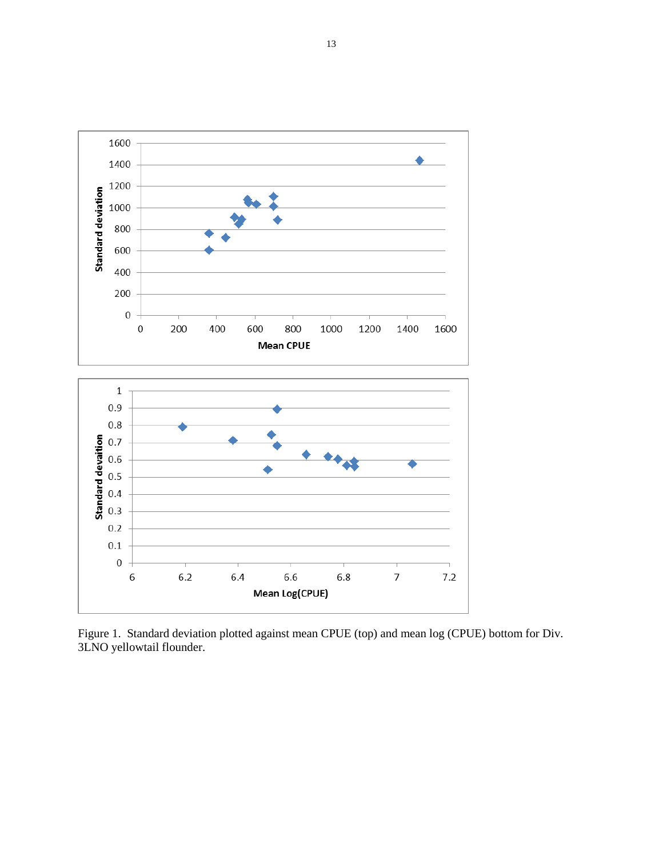

Figure 1. Standard deviation plotted against mean CPUE (top) and mean log (CPUE) bottom for Div. 3LNO yellowtail flounder.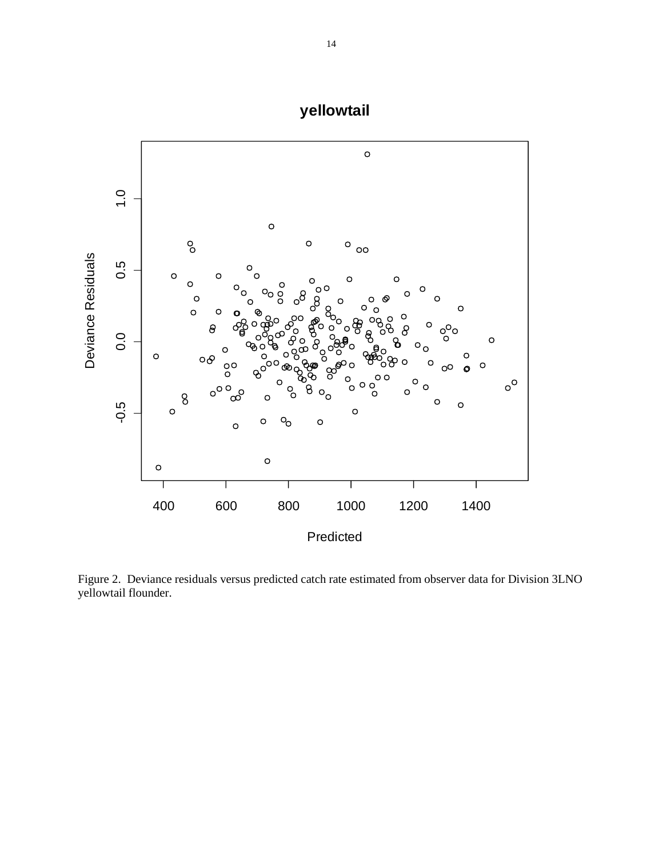

Figure 2. Deviance residuals versus predicted catch rate estimated from observer data for Division 3LNO yellowtail flounder.

**yellowtail**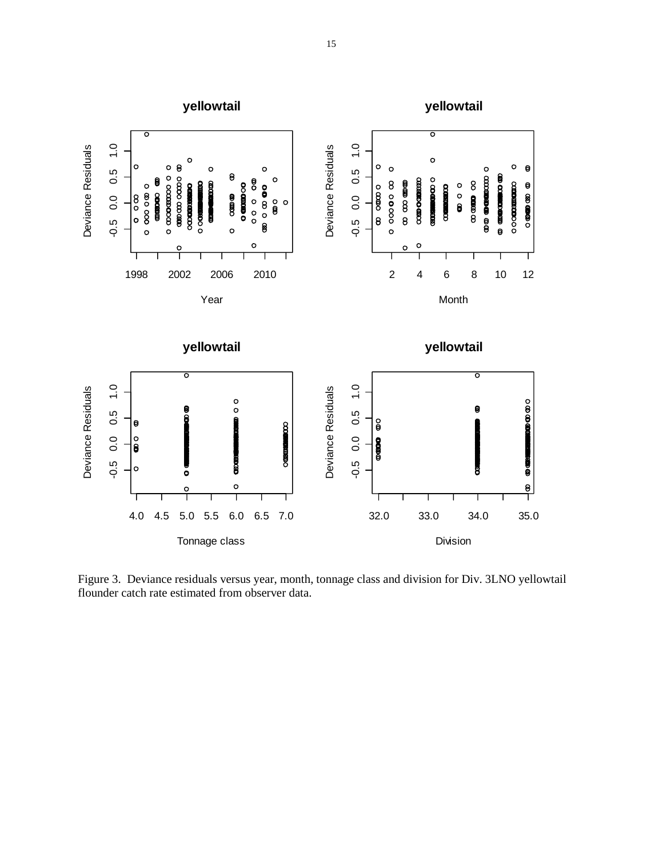

Figure 3. Deviance residuals versus year, month, tonnage class and division for Div. 3LNO yellowtail flounder catch rate estimated from observer data.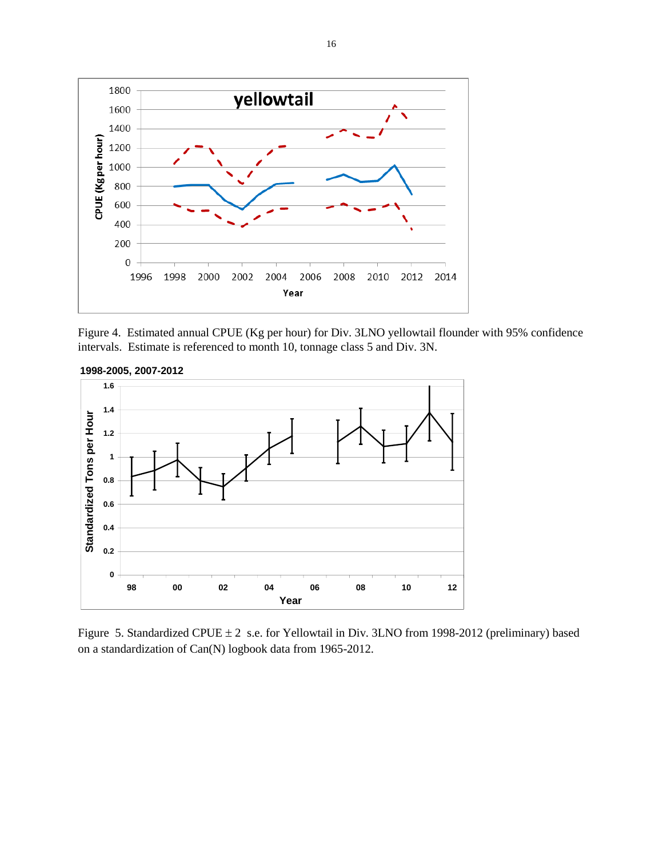

Figure 4. Estimated annual CPUE (Kg per hour) for Div. 3LNO yellowtail flounder with 95% confidence intervals. Estimate is referenced to month 10, tonnage class 5 and Div. 3N.



**1998-2005, 2007-2012**

Figure 5. Standardized CPUE  $\pm 2$  s.e. for Yellowtail in Div. 3LNO from 1998-2012 (preliminary) based on a standardization of Can(N) logbook data from 1965-2012.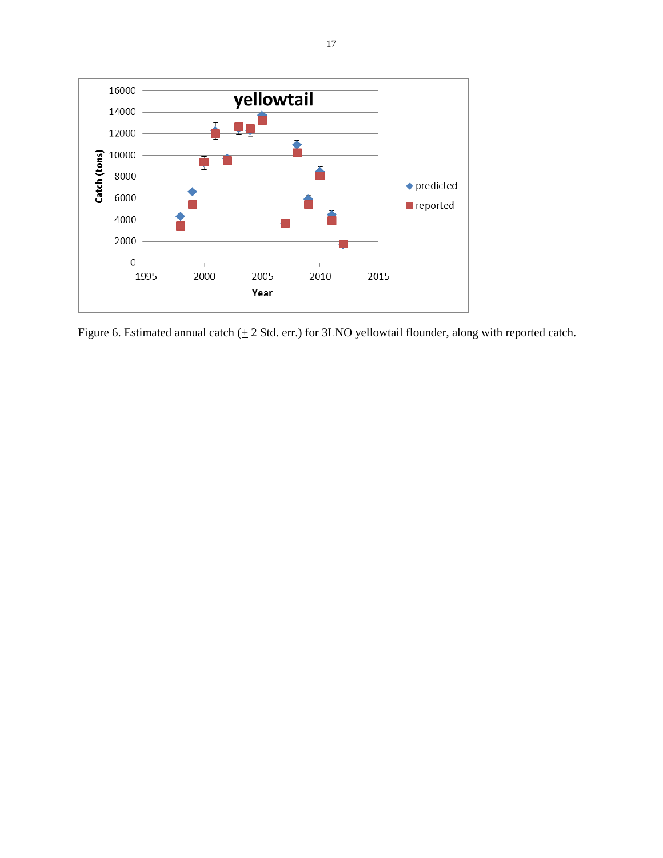

Figure 6. Estimated annual catch  $(± 2$  Std. err.) for 3LNO yellowtail flounder, along with reported catch.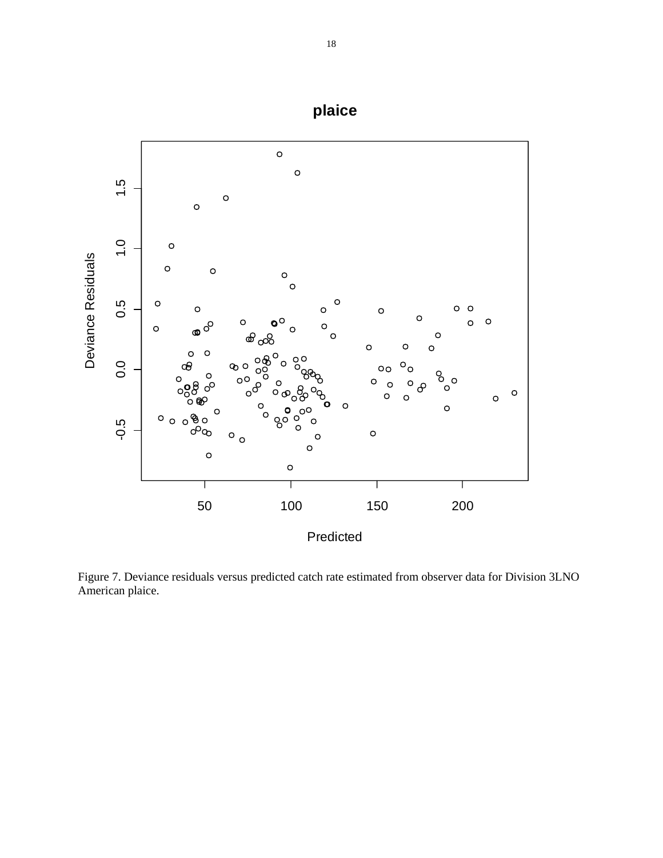

Figure 7. Deviance residuals versus predicted catch rate estimated from observer data for Division 3LNO American plaice.

**plaice**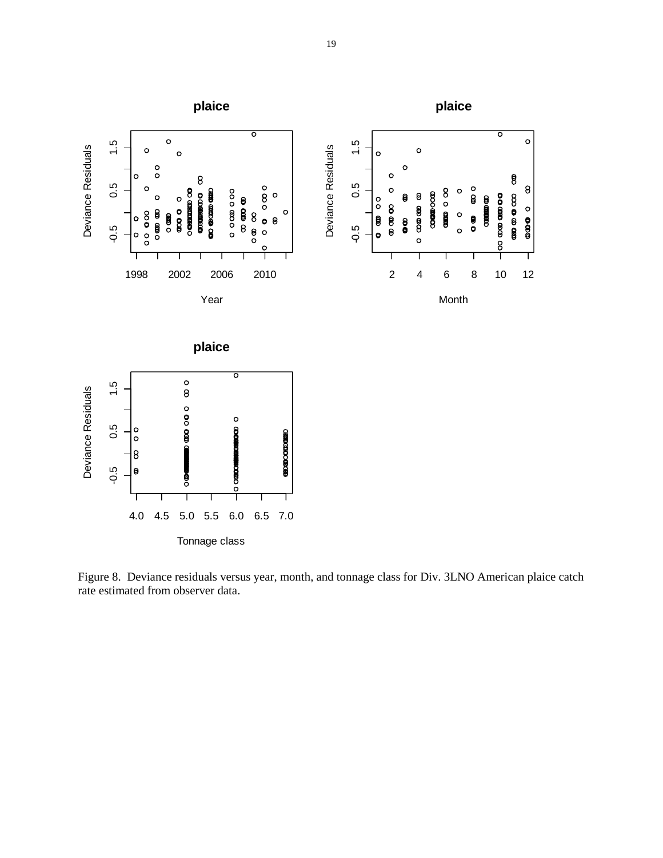

Figure 8. Deviance residuals versus year, month, and tonnage class for Div. 3LNO American plaice catch rate estimated from observer data.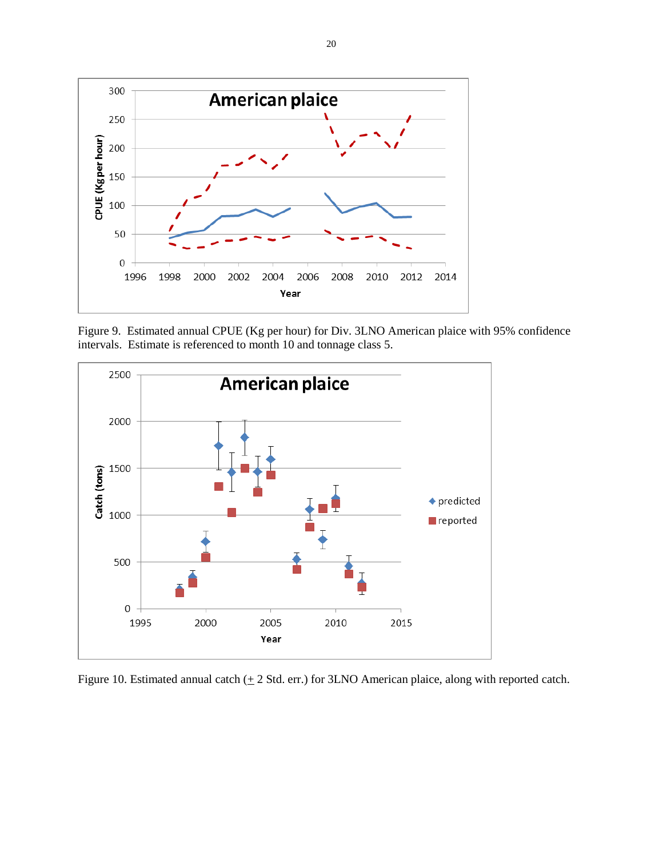

Figure 9. Estimated annual CPUE (Kg per hour) for Div. 3LNO American plaice with 95% confidence intervals. Estimate is referenced to month 10 and tonnage class 5.



Figure 10. Estimated annual catch  $(± 2$  Std. err.) for 3LNO American plaice, along with reported catch.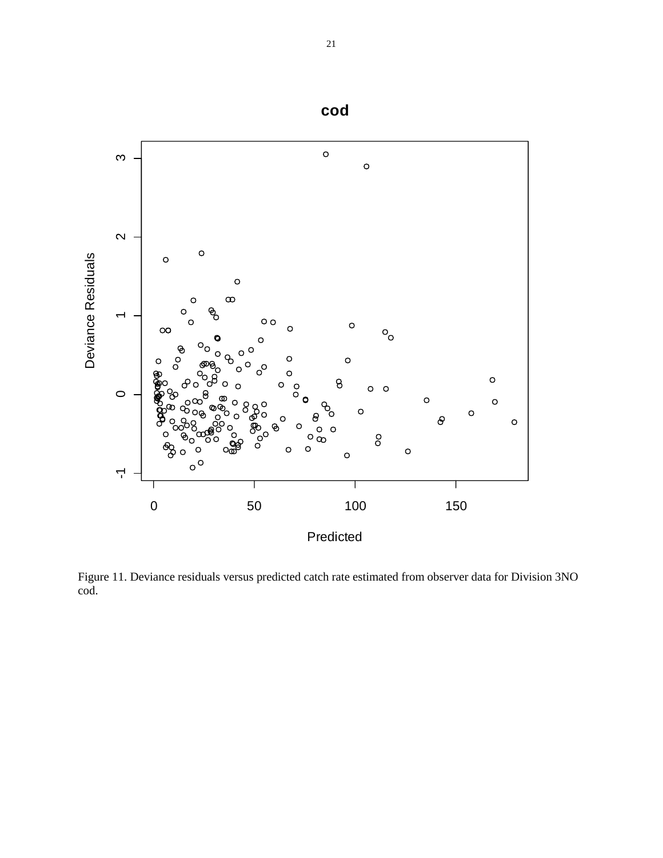

Figure 11. Deviance residuals versus predicted catch rate estimated from observer data for Division 3NO cod.

**cod**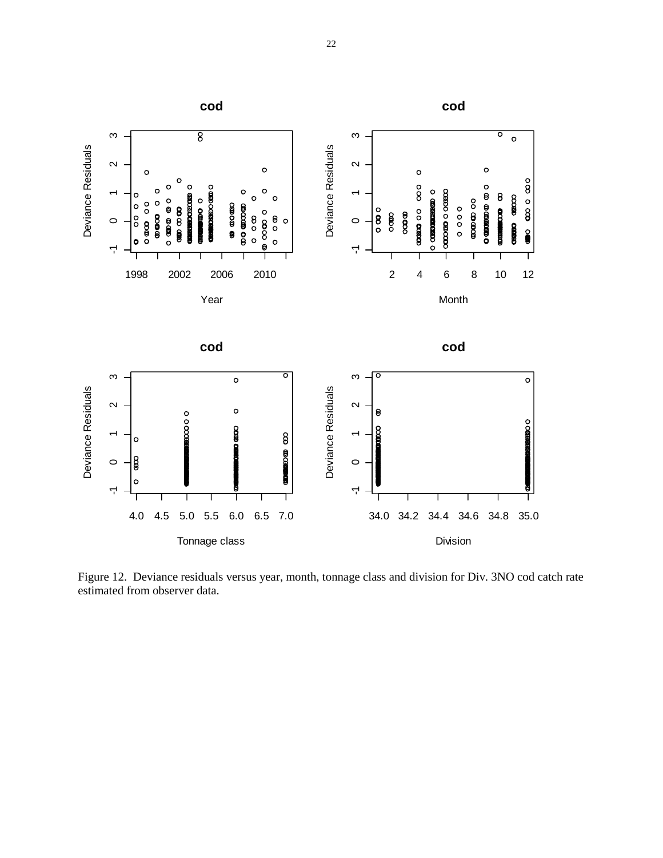

Figure 12. Deviance residuals versus year, month, tonnage class and division for Div. 3NO cod catch rate estimated from observer data.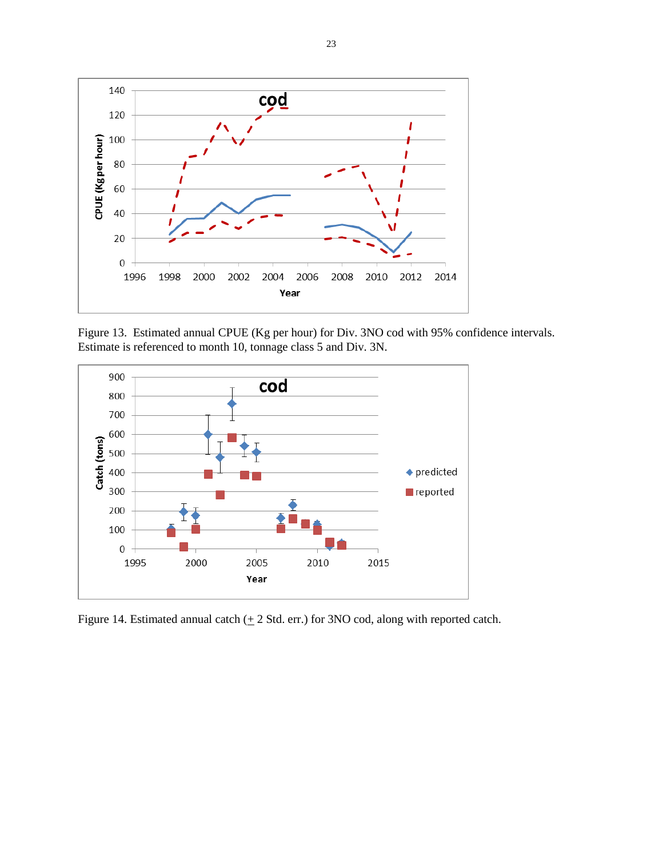

Figure 13. Estimated annual CPUE (Kg per hour) for Div. 3NO cod with 95% confidence intervals. Estimate is referenced to month 10, tonnage class 5 and Div. 3N.



Figure 14. Estimated annual catch  $(± 2$  Std. err.) for 3NO cod, along with reported catch.